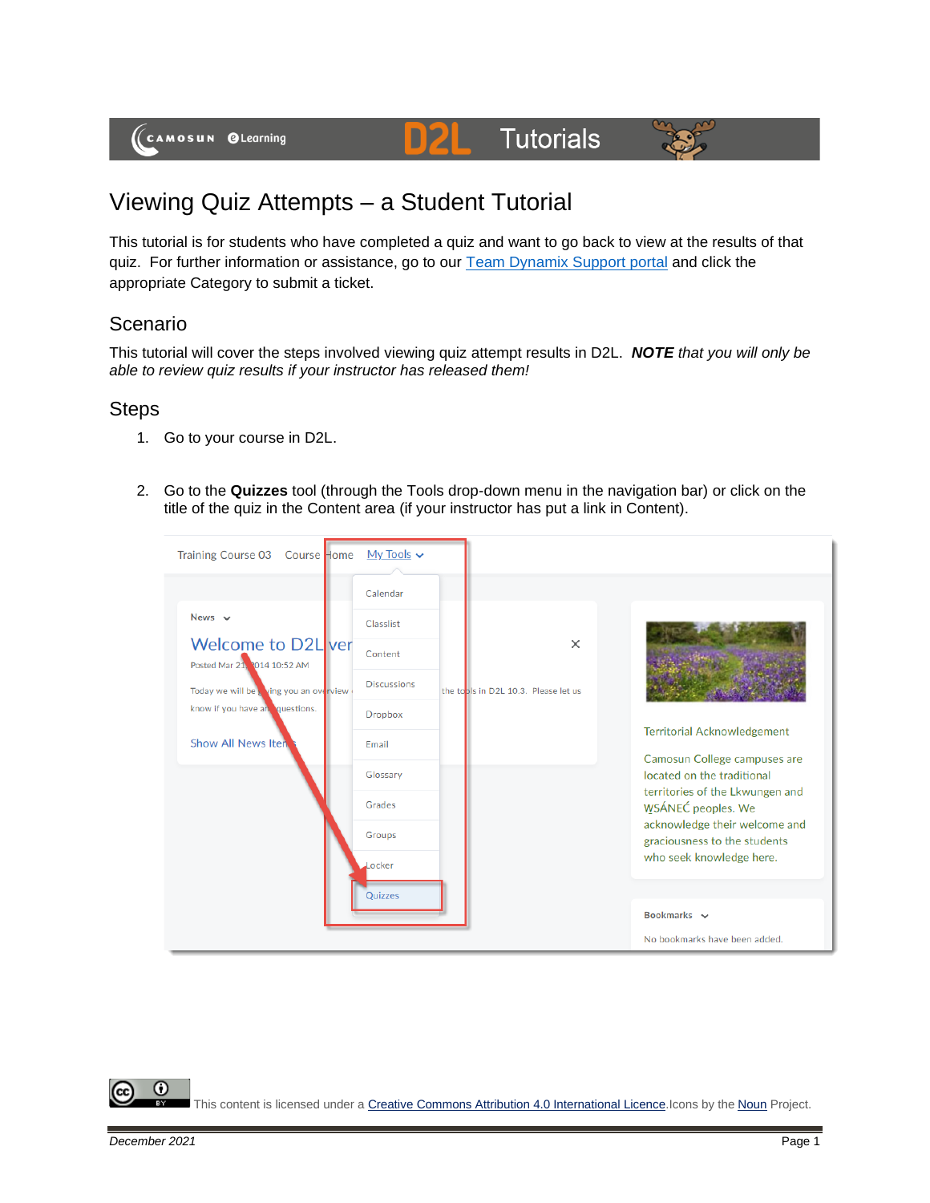(CAMOSUN @Learning

## **Tutorials**



## Viewing Quiz Attempts – a Student Tutorial

This tutorial is for students who have completed a quiz and want to go back to view at the results of that quiz. For further information or assistance, go to our [Team Dynamix Support portal](https://camosun.teamdynamix.com/TDClient/67/Portal/Requests/ServiceCatalog?CategoryID=524) and click the appropriate Category to submit a ticket.

D2

## Scenario

This tutorial will cover the steps involved viewing quiz attempt results in D2L. *NOTE that you will only be able to review quiz results if your instructor has released them!*

## **Steps**

- 1. Go to your course in D2L.
- 2. Go to the **Quizzes** tool (through the Tools drop-down menu in the navigation bar) or click on the title of the quiz in the Content area (if your instructor has put a link in Content).



Œ This content is licensed under [a Creative Commons Attribution 4.0 International Licence.I](https://creativecommons.org/licenses/by/4.0/)cons by the [Noun](https://creativecommons.org/website-icons/) Project.